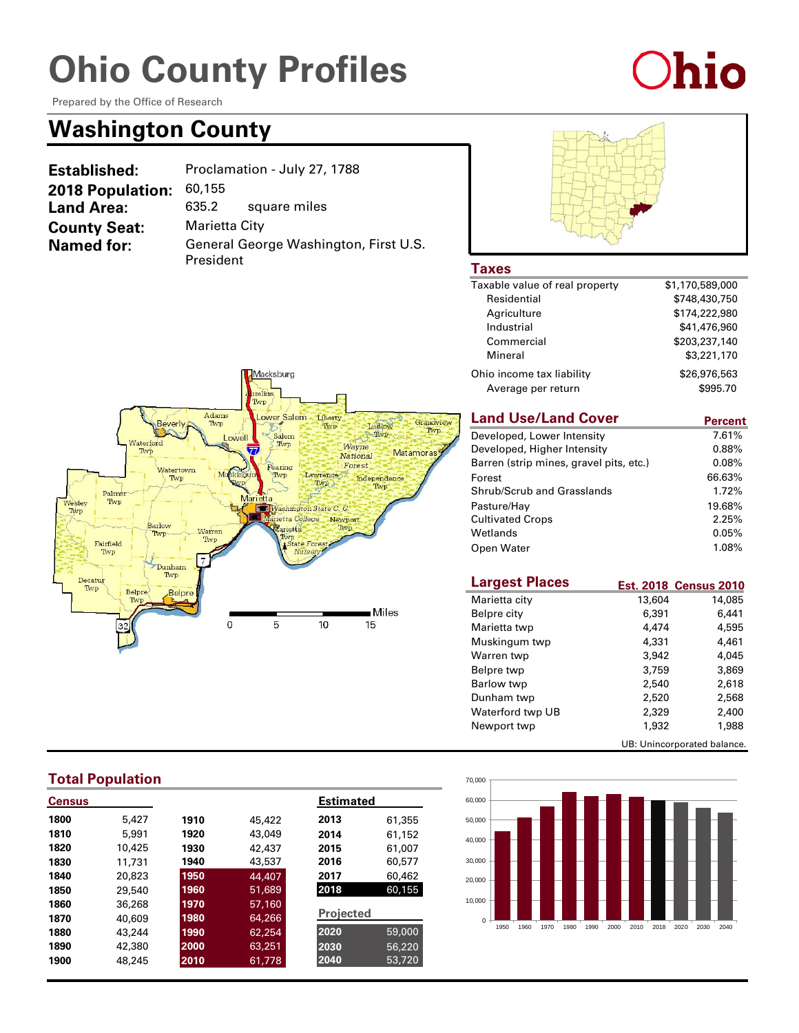Prepared by the Office of Research

### **Washington County**

| <b>Established:</b>     | Proclamation - July 27, 1788 |                                       |
|-------------------------|------------------------------|---------------------------------------|
| <b>2018 Population:</b> | 60,155                       |                                       |
| <b>Land Area:</b>       | 635.2                        | square miles                          |
| <b>County Seat:</b>     | Marietta City                |                                       |
| <b>Named for:</b>       | President                    | General George Washington, First U.S. |



Ohio

### **Taxes**

| Taxable value of real property | \$1,170,589,000 |
|--------------------------------|-----------------|
| Residential                    | \$748,430,750   |
| Agriculture                    | \$174,222,980   |
| Industrial                     | \$41,476,960    |
| Commercial                     | \$203,237,140   |
| Mineral                        | \$3,221,170     |
| Ohio income tax liability      | \$26,976,563    |
| Average per return             | \$995.70        |

#### **Land Use/Land Cover**

| <b>Land Use/Land Cover</b>              | Percent |
|-----------------------------------------|---------|
| Developed, Lower Intensity              | 7.61%   |
| Developed, Higher Intensity             | 0.88%   |
| Barren (strip mines, gravel pits, etc.) | 0.08%   |
| Forest                                  | 66.63%  |
| Shrub/Scrub and Grasslands              | 1.72%   |
| Pasture/Hay                             | 19.68%  |
| <b>Cultivated Crops</b>                 | 2.25%   |
| Wetlands                                | 0.05%   |
| Open Water                              | 1.08%   |

| <b>Largest Places</b> |                             | <b>Est. 2018 Census 2010</b> |
|-----------------------|-----------------------------|------------------------------|
| Marietta city         | 13,604                      | 14,085                       |
| Belpre city           | 6,391                       | 6.441                        |
| Marietta twp          | 4,474                       | 4,595                        |
| Muskingum twp         | 4,331                       | 4,461                        |
| Warren twp            | 3,942                       | 4,045                        |
| Belpre twp            | 3.759                       | 3,869                        |
| Barlow twp            | 2.540                       | 2.618                        |
| Dunham twp            | 2,520                       | 2,568                        |
| Waterford twp UB      | 2.329                       | 2,400                        |
| Newport twp           | 1,932                       | 1,988                        |
|                       | UB: Unincorporated balance. |                              |





### **Total Population**

| <b>Census</b> |        |      |        | <b>Estimated</b> |        |
|---------------|--------|------|--------|------------------|--------|
| 1800          | 5.427  | 1910 | 45,422 | 2013             | 61,355 |
| 1810          | 5,991  | 1920 | 43,049 | 2014             | 61,152 |
| 1820          | 10,425 | 1930 | 42,437 | 2015             | 61,007 |
| 1830          | 11,731 | 1940 | 43,537 | 2016             | 60,577 |
| 1840          | 20,823 | 1950 | 44,407 | 2017             | 60,462 |
| 1850          | 29,540 | 1960 | 51,689 | 2018             | 60,155 |
| 1860          | 36,268 | 1970 | 57,160 |                  |        |
| 1870          | 40,609 | 1980 | 64,266 | <b>Projected</b> |        |
| 1880          | 43,244 | 1990 | 62,254 | 2020             | 59,000 |
| 1890          | 42,380 | 2000 | 63,251 | 2030             | 56,220 |
| 1900          | 48,245 | 2010 | 61,778 | 2040             | 53,720 |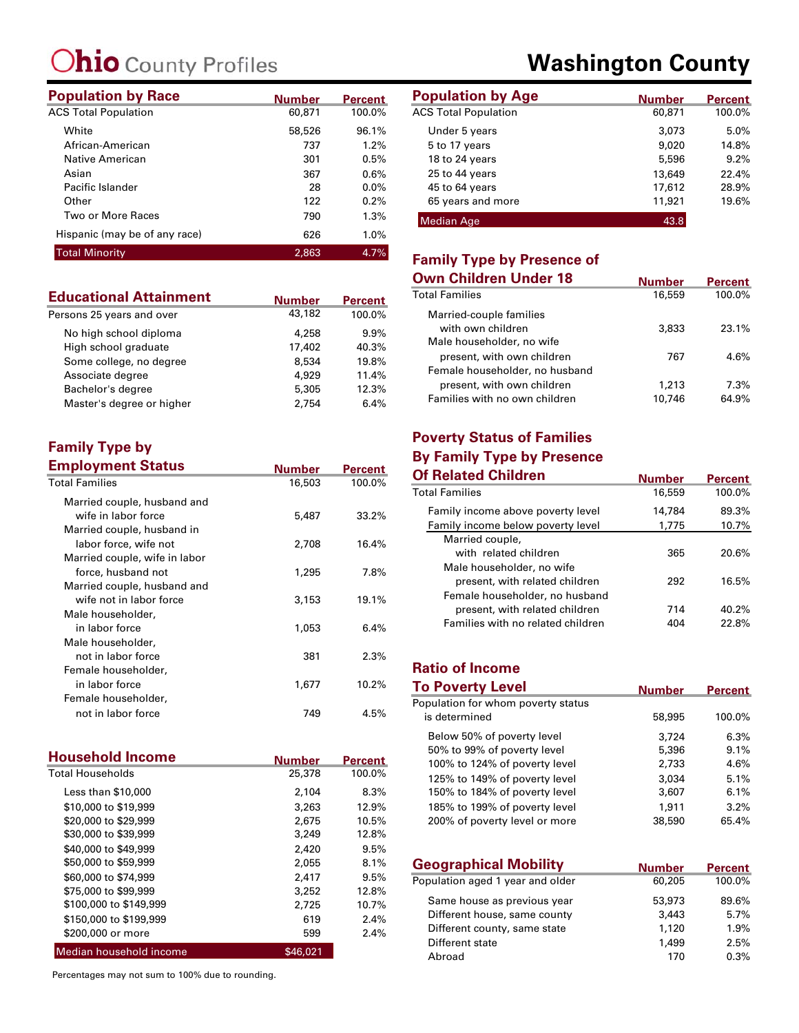| <b>Population by Race</b>     | <b>Number</b> | <b>Percent</b> | <b>Population by Age</b>    |
|-------------------------------|---------------|----------------|-----------------------------|
| <b>ACS Total Population</b>   | 60,871        | 100.0%         | <b>ACS Total Population</b> |
| White                         | 58,526        | 96.1%          | Under 5 years               |
| African-American              | 737           | 1.2%           | 5 to 17 years               |
| Native American               | 301           | 0.5%           | 18 to 24 years              |
| Asian                         | 367           | 0.6%           | 25 to 44 years              |
| Pacific Islander              | 28            | $0.0\%$        | 45 to 64 years              |
| Other                         | 122           | 0.2%           | 65 years and more           |
| Two or More Races             | 790           | 1.3%           | <b>Median Age</b>           |
| Hispanic (may be of any race) | 626           | 1.0%           |                             |
| <b>Total Minority</b>         | 2.863         | 4.7%           | Easailte Tusa bu De         |

| <b>Educational Attainment</b> | <b>Number</b> | <b>Percent</b> |
|-------------------------------|---------------|----------------|
| Persons 25 years and over     | 43,182        | 100.0%         |
| No high school diploma        | 4,258         | 9.9%           |
| High school graduate          | 17,402        | 40.3%          |
| Some college, no degree       | 8.534         | 19.8%          |
| Associate degree              | 4.929         | 11.4%          |
| Bachelor's degree             | 5,305         | 12.3%          |
| Master's degree or higher     | 2.754         | 6.4%           |

#### **Family Type by Employment Status**

| <b>Employment Status</b>      | Number | Percent  |
|-------------------------------|--------|----------|
| <b>Total Families</b>         | 16,503 | 100.0%   |
| Married couple, husband and   |        |          |
| wife in labor force           | 5,487  | $33.2\%$ |
| Married couple, husband in    |        |          |
| labor force, wife not         | 2,708  | 16.4%    |
| Married couple, wife in labor |        |          |
| force, husband not            | 1,295  | 7.8%     |
| Married couple, husband and   |        |          |
| wife not in labor force       | 3,153  | 19.1%    |
| Male householder,             |        |          |
| in labor force                | 1,053  | 6.4%     |
| Male householder,             |        |          |
| not in labor force            | 381    | 2.3%     |
| Female householder,           |        |          |
| in labor force                | 1,677  | $10.2\%$ |
| Female householder,           |        |          |
| not in labor force            | 749    | 4.5%     |

| <b>Household Income</b> | <b>Number</b> | <b>Percent</b> |
|-------------------------|---------------|----------------|
| <b>Total Households</b> | 25,378        | 100.0%         |
| Less than \$10,000      | 2,104         | 8.3%           |
| \$10,000 to \$19,999    | 3.263         | 12.9%          |
| \$20,000 to \$29,999    | 2,675         | 10.5%          |
| \$30,000 to \$39,999    | 3,249         | 12.8%          |
| \$40,000 to \$49,999    | 2,420         | 9.5%           |
| \$50,000 to \$59,999    | 2,055         | 8.1%           |
| \$60,000 to \$74,999    | 2,417         | 9.5%           |
| \$75,000 to \$99,999    | 3,252         | 12.8%          |
| \$100,000 to \$149,999  | 2.725         | 10.7%          |
| \$150,000 to \$199,999  | 619           | 2.4%           |
| \$200,000 or more       | 599           | 2.4%           |
| Median household income | \$46,021      |                |

Percentages may not sum to 100% due to rounding.

### **Washington County**

| Number | <b>Percent</b> | <b>Population by Age</b>    | <b>Number</b> | <b>Percent</b> |
|--------|----------------|-----------------------------|---------------|----------------|
| 60,871 | 100.0%         | <b>ACS Total Population</b> | 60,871        | 100.0%         |
| 58,526 | 96.1%          | Under 5 years               | 3,073         | 5.0%           |
| 737    | 1.2%           | 5 to 17 years               | 9,020         | 14.8%          |
| 301    | 0.5%           | 18 to 24 years              | 5,596         | 9.2%           |
| 367    | 0.6%           | 25 to 44 years              | 13,649        | 22.4%          |
| 28     | $0.0\%$        | 45 to 64 years              | 17,612        | 28.9%          |
| 122    | 0.2%           | 65 years and more           | 11,921        | 19.6%          |
| 790    | 1.3%           | <b>Median Age</b>           | 43.8          |                |

### **Family Type by Presence of**

| Own Children Under 18                                        | <b>Number</b> | <b>Percent</b> |
|--------------------------------------------------------------|---------------|----------------|
| Total Families                                               | 16,559        | 100.0%         |
| Married-couple families<br>with own children                 | 3,833         | 23.1%          |
| Male householder, no wife<br>present, with own children      | 767           | 4.6%           |
| Female householder, no husband<br>present, with own children | 1,213         | 7.3%           |
| Families with no own children                                | 10.746        | 64.9%          |

### **Poverty Status of Families By Family Type by Presence**

| <b>Of Related Children</b>        | <b>Number</b> | <b>Percent</b> |
|-----------------------------------|---------------|----------------|
| Total Families                    | 16,559        | 100.0%         |
| Family income above poverty level | 14,784        | 89.3%          |
| Family income below poverty level | 1,775         | 10.7%          |
| Married couple,                   |               |                |
| with related children             | 365           | 20.6%          |
| Male householder, no wife         |               |                |
| present, with related children    | 292           | 16.5%          |
| Female householder, no husband    |               |                |
| present, with related children    | 714           | 40.2%          |
| Families with no related children | 404           | 22.8%          |

#### **Ratio of Income To Poverty Level**

| <b>10 POVERTY LEVEL</b>            | <b>Number</b> | <b>Percent</b> |
|------------------------------------|---------------|----------------|
| Population for whom poverty status |               |                |
| is determined                      | 58,995        | 100.0%         |
| Below 50% of poverty level         | 3.724         | $6.3\%$        |
| 50% to 99% of poverty level        | 5,396         | 9.1%           |
| 100% to 124% of poverty level      | 2,733         | 4.6%           |
| 125% to 149% of poverty level      | 3.034         | 5.1%           |
| 150% to 184% of poverty level      | 3,607         | 6.1%           |
| 185% to 199% of poverty level      | 1.911         | 3.2%           |
| 200% of poverty level or more      | 38,590        | 65.4%          |

| <b>Geographical Mobility</b>     | <b>Number</b> | <b>Percent</b> |
|----------------------------------|---------------|----------------|
| Population aged 1 year and older | 60,205        | 100.0%         |
| Same house as previous year      | 53,973        | 89.6%          |
| Different house, same county     | 3,443         | 5.7%           |
| Different county, same state     | 1,120         | 1.9%           |
| Different state                  | 1,499         | 2.5%           |
| Abroad                           | 170           | 0.3%           |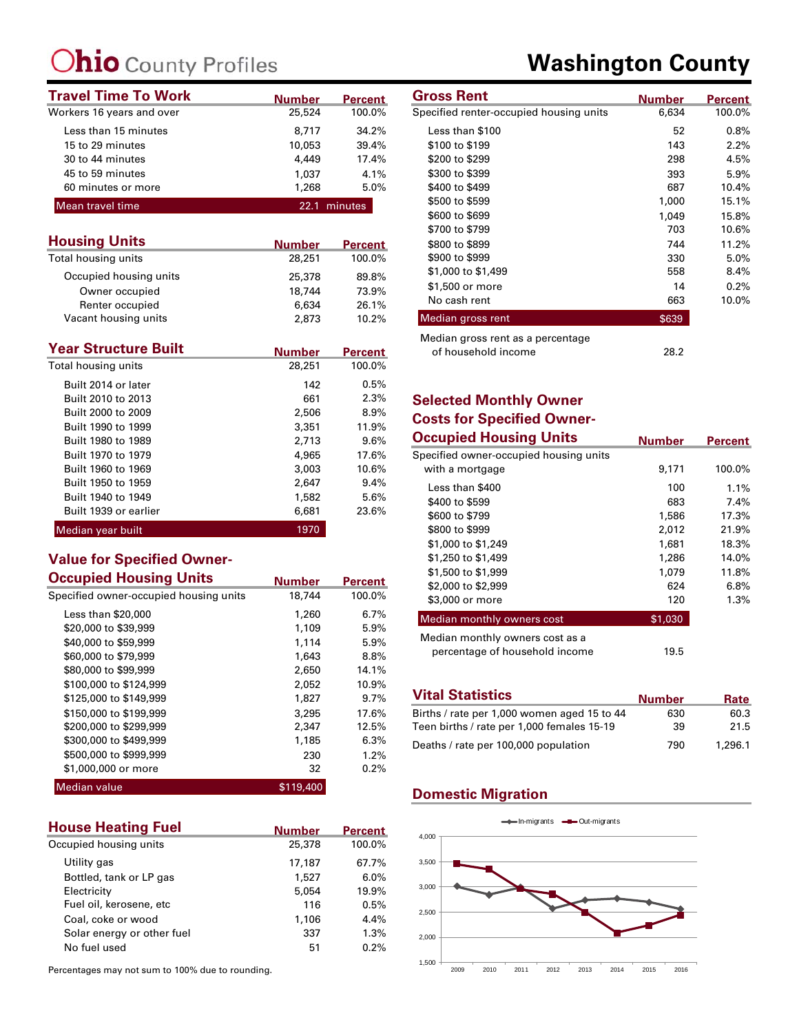| <b>Travel Time To Work</b> | <b>Number</b> | <b>Percent</b> | <b>Gross Rent</b>                       | Number |
|----------------------------|---------------|----------------|-----------------------------------------|--------|
| Workers 16 years and over  | 25,524        | 100.0%         | Specified renter-occupied housing units | 6,634  |
| Less than 15 minutes       | 8,717         | 34.2%          | Less than \$100                         | 52     |
| 15 to 29 minutes           | 10,053        | 39.4%          | \$100 to \$199                          | 143    |
| 30 to 44 minutes           | 4,449         | 17.4%          | \$200 to \$299                          | 298    |
| 45 to 59 minutes           | 1.037         | 4.1%           | \$300 to \$399                          | 393    |
| 60 minutes or more         | 1,268         | 5.0%           | \$400 to \$499                          | 687    |
| Mean travel time           |               | 22.1 minutes   | \$500 to \$599                          | 1,000  |
|                            |               |                | $0.001 - 0.000$                         | 1.010  |

| <b>Housing Units</b>   | <b>Number</b> | <b>Percent</b> |
|------------------------|---------------|----------------|
| Total housing units    | 28,251        | 100.0%         |
| Occupied housing units | 25,378        | 89.8%          |
| Owner occupied         | 18,744        | 73.9%          |
| Renter occupied        | 6,634         | 26.1%          |
| Vacant housing units   | 2,873         | 10.2%          |

| <b>Year Structure Built</b> | <b>Number</b> | <b>Percent</b> |
|-----------------------------|---------------|----------------|
| Total housing units         | 28,251        | 100.0%         |
| Built 2014 or later         | 142           | 0.5%           |
| Built 2010 to 2013          | 661           | 2.3%           |
| Built 2000 to 2009          | 2,506         | 8.9%           |
| Built 1990 to 1999          | 3,351         | 11.9%          |
| Built 1980 to 1989          | 2,713         | $9.6\%$        |
| Built 1970 to 1979          | 4,965         | 17.6%          |
| Built 1960 to 1969          | 3,003         | 10.6%          |
| Built 1950 to 1959          | 2,647         | 9.4%           |
| Built 1940 to 1949          | 1,582         | 5.6%           |
| Built 1939 or earlier       | 6,681         | 23.6%          |
| Median year built           | 1970          |                |

#### **Value for Specified Owner-Occupied Housing Units**

| Occupied Housing Units                 | <b>Number</b> | <b>Percent</b> |
|----------------------------------------|---------------|----------------|
| Specified owner-occupied housing units | 18,744        | 100.0%         |
| Less than \$20,000                     | 1,260         | 6.7%           |
| \$20,000 to \$39,999                   | 1,109         | 5.9%           |
| \$40,000 to \$59,999                   | 1.114         | 5.9%           |
| \$60,000 to \$79,999                   | 1,643         | 8.8%           |
| \$80,000 to \$99,999                   | 2,650         | 14.1%          |
| \$100,000 to \$124,999                 | 2.052         | 10.9%          |
| \$125,000 to \$149,999                 | 1,827         | 9.7%           |
| \$150,000 to \$199,999                 | 3,295         | 17.6%          |
| \$200,000 to \$299,999                 | 2,347         | 12.5%          |
| \$300,000 to \$499,999                 | 1,185         | 6.3%           |
| \$500,000 to \$999,999                 | 230           | 1.2%           |
| \$1,000,000 or more                    | 32            | 0.2%           |
| <b>Median value</b>                    | \$119,400     |                |

| <b>House Heating Fuel</b>  | <b>Number</b> | <b>Percent</b> |
|----------------------------|---------------|----------------|
| Occupied housing units     | 25,378        | 100.0%         |
| Utility gas                | 17,187        | 67.7%          |
| Bottled, tank or LP gas    | 1.527         | 6.0%           |
| Electricity                | 5.054         | 19.9%          |
| Fuel oil, kerosene, etc    | 116           | 0.5%           |
| Coal, coke or wood         | 1,106         | 4.4%           |
| Solar energy or other fuel | 337           | 1.3%           |
| No fuel used               | 51            | 0.2%           |

Percentages may not sum to 100% due to rounding.

### **Washington County**

| <b>Gross Rent</b>                       | <b>Number</b> | Percent |
|-----------------------------------------|---------------|---------|
| Specified renter-occupied housing units | 6,634         | 100.0%  |
| Less than \$100                         | 52            | 0.8%    |
| \$100 to \$199                          | 143           | 2.2%    |
| \$200 to \$299                          | 298           | 4.5%    |
| \$300 to \$399                          | 393           | 5.9%    |
| \$400 to \$499                          | 687           | 10.4%   |
| \$500 to \$599                          | 1,000         | 15.1%   |
| \$600 to \$699                          | 1,049         | 15.8%   |
| \$700 to \$799                          | 703           | 10.6%   |
| \$800 to \$899                          | 744           | 11.2%   |
| \$900 to \$999                          | 330           | 5.0%    |
| \$1,000 to \$1,499                      | 558           | 8.4%    |
| \$1,500 or more                         | 14            | 0.2%    |
| No cash rent                            | 663           | 10.0%   |
| Median gross rent                       | \$639         |         |
| Median gross rent as a percentage       |               |         |
| of household income                     | 28.2          |         |

### **Selected Monthly Owner Costs for Specified Owner-**

| <b>Occupied Housing Units</b>                                     | <b>Number</b> | <b>Percent</b> |
|-------------------------------------------------------------------|---------------|----------------|
| Specified owner-occupied housing units                            |               |                |
| with a mortgage                                                   | 9,171         | 100.0%         |
| Less than \$400                                                   | 100           | $1.1\%$        |
| \$400 to \$599                                                    | 683           | $7.4\%$        |
| \$600 to \$799                                                    | 1,586         | 17.3%          |
| \$800 to \$999                                                    | 2,012         | 21.9%          |
| \$1,000 to \$1,249                                                | 1,681         | 18.3%          |
| \$1,250 to \$1,499                                                | 1,286         | 14.0%          |
| \$1,500 to \$1,999                                                | 1,079         | 11.8%          |
| \$2,000 to \$2,999                                                | 624           | 6.8%           |
| \$3,000 or more                                                   | 120           | $1.3\%$        |
| Median monthly owners cost                                        | \$1,030       |                |
| Median monthly owners cost as a<br>percentage of household income | 19.5          |                |

| <b>Vital Statistics</b>                     | <b>Number</b> | Rate    |
|---------------------------------------------|---------------|---------|
| Births / rate per 1,000 women aged 15 to 44 | 630           | 60.3    |
| Teen births / rate per 1,000 females 15-19  | 39            | 21.5    |
| Deaths / rate per 100,000 population        | 790           | 1,296.1 |

### **Domestic Migration**

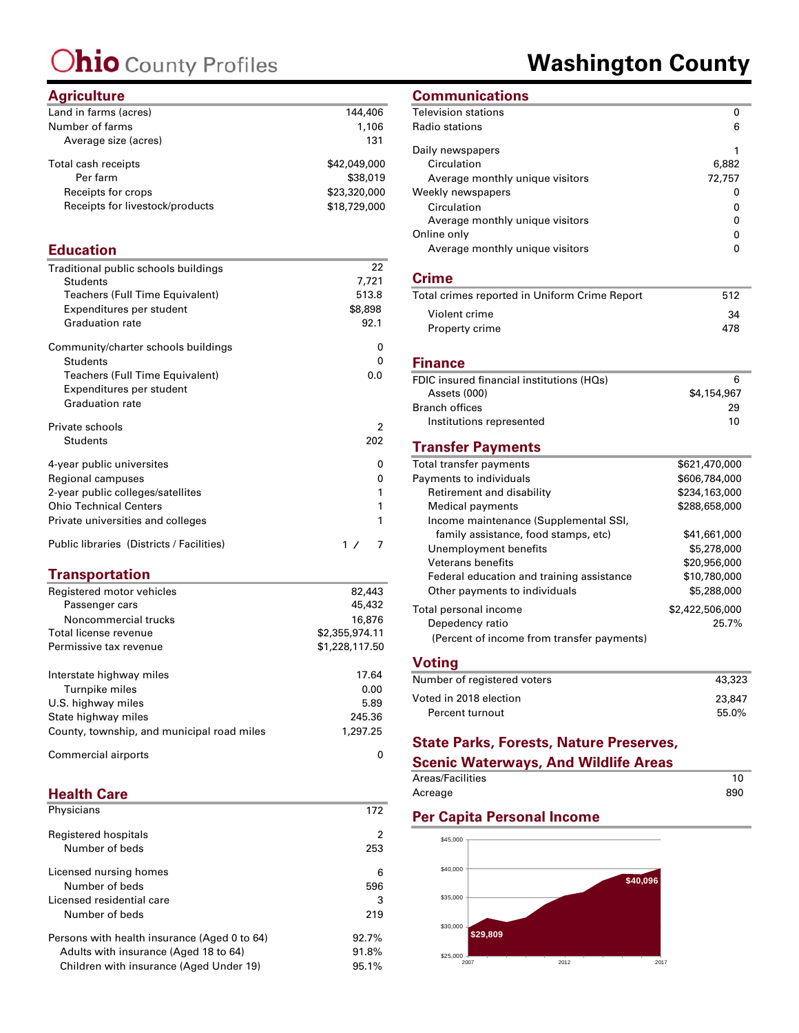### **Washington County**

### **Agriculture**

| Land in farms (acres)           | 144,406      |
|---------------------------------|--------------|
| Number of farms                 | 1,106        |
| Average size (acres)            | 131          |
| Total cash receipts             | \$42,049,000 |
| Per farm                        | \$38,019     |
| Receipts for crops              | \$23,320,000 |
| Receipts for livestock/products | \$18,729,000 |
|                                 |              |

### **Education**

| Traditional public schools buildings | 22      |
|--------------------------------------|---------|
| Students                             | 7,721   |
| Teachers (Full Time Equivalent)      | 513.8   |
| Expenditures per student             | \$8,898 |
| <b>Graduation rate</b>               | 92.1    |
| Community/charter schools buildings  | 0       |
| <b>Students</b>                      | 0       |
| Teachers (Full Time Equivalent)      | 0.0     |
| Expenditures per student             |         |
| <b>Graduation rate</b>               |         |
| Private schools                      | 2       |
|                                      |         |
| <b>Students</b>                      | 202     |
| 4-year public universites            | 0       |
| Regional campuses                    | 0       |
| 2-year public colleges/satellites    | 1       |
| <b>Ohio Technical Centers</b>        | 1       |
| Private universities and colleges    | 1       |

### **Transportation**

| Registered motor vehicles                  | 82,443         |
|--------------------------------------------|----------------|
| Passenger cars                             | 45,432         |
| Noncommercial trucks                       | 16,876         |
| Total license revenue                      | \$2,355,974.11 |
| Permissive tax revenue                     | \$1,228,117.50 |
| Interstate highway miles                   | 17.64          |
| Turnpike miles                             | 0.00           |
| U.S. highway miles                         | 5.89           |
| State highway miles                        | 245.36         |
| County, township, and municipal road miles | 1,297.25       |
| Commercial airports                        | O              |

#### **Health Care**

| Physicians                                   | 172      |
|----------------------------------------------|----------|
| Registered hospitals<br>Number of beds       | 2<br>253 |
| Licensed nursing homes                       | 6        |
| Number of beds                               | 596      |
| Licensed residential care                    | 3        |
| Number of beds                               | 219      |
| Persons with health insurance (Aged 0 to 64) | 92.7%    |
| Adults with insurance (Aged 18 to 64)        | 91.8%    |
| Children with insurance (Aged Under 19)      | 95.1%    |

### **Communications**

| Television stations                           | 0               |
|-----------------------------------------------|-----------------|
| Radio stations                                | 6               |
| Daily newspapers                              | 1               |
| Circulation                                   | 6,882           |
| Average monthly unique visitors               | 72,757          |
| Weekly newspapers                             | 0               |
| Circulation                                   | 0               |
| Average monthly unique visitors               | 0               |
| Online only                                   | 0               |
| Average monthly unique visitors               | 0               |
| <b>Crime</b>                                  |                 |
| Total crimes reported in Uniform Crime Report | 512             |
| Violent crime                                 | 34              |
| Property crime                                | 478             |
| <b>Finance</b>                                |                 |
| FDIC insured financial institutions (HQs)     | 6               |
| Assets (000)                                  | \$4,154,967     |
| <b>Branch offices</b>                         | 29              |
| Institutions represented                      | 10              |
| <b>Transfer Payments</b>                      |                 |
| Total transfer payments                       | \$621,470,000   |
| Payments to individuals                       | \$606,784,000   |
| Retirement and disability                     | \$234,163,000   |
| <b>Medical payments</b>                       | \$288,658,000   |
| Income maintenance (Supplemental SSI,         |                 |
| family assistance, food stamps, etc)          | \$41,661,000    |
| Unemployment benefits                         | \$5,278,000     |
| <b>Veterans benefits</b>                      | \$20,956,000    |
| Federal education and training assistance     | \$10,780,000    |
| Other payments to individuals                 | \$5,288,000     |
| Total personal income                         | \$2,422,506,000 |
| Depedency ratio                               | 25.7%           |
| (Percent of income from transfer payments)    |                 |
| <b>Voting</b>                                 |                 |
| Number of registered voters                   | 43,323          |

### Voted in 2018 election<br>
Percent turnout<br>
55.0% Percent turnout

### **State Parks, Forests, Nature Preserves,**

#### **Scenic Waterways, And Wildlife Areas**

| Areas/Facilities |     |
|------------------|-----|
| Acreage          | 890 |

### **Per Capita Personal Income**